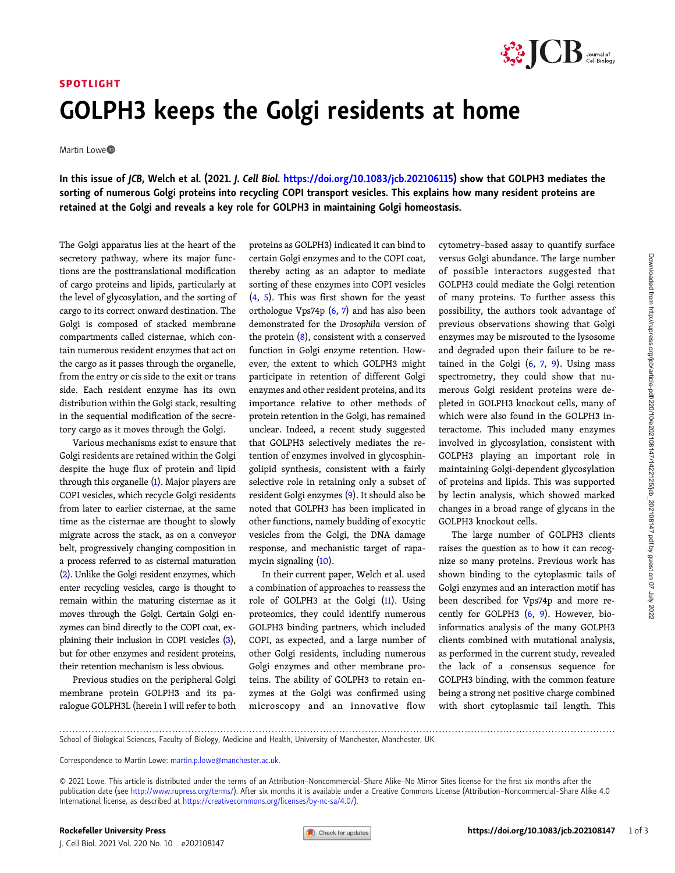

## SPOTLIGHT GOLPH3 keeps the Golgi residents at home

Martin Lowe<sup>®</sup>

In this issue of JCB, Welch et al. (2021. J. Cell Biol. <https://doi.org/10.1083/jcb.202106115>) show that GOLPH3 mediates the sorting of numerous Golgi proteins into recycling COPI transport vesicles. This explains how many resident proteins are retained at the Golgi and reveals a key role for GOLPH3 in maintaining Golgi homeostasis.

The Golgi apparatus lies at the heart of the secretory pathway, where its major functions are the posttranslational modification of cargo proteins and lipids, particularly at the level of glycosylation, and the sorting of cargo to its correct onward destination. The Golgi is composed of stacked membrane compartments called cisternae, which contain numerous resident enzymes that act on the cargo as it passes through the organelle, from the entry or cis side to the exit or trans side. Each resident enzyme has its own distribution within the Golgi stack, resulting in the sequential modification of the secretory cargo as it moves through the Golgi.

Various mechanisms exist to ensure that Golgi residents are retained within the Golgi despite the huge flux of protein and lipid through this organelle  $(1)$  $(1)$ . Major players are COPI vesicles, which recycle Golgi residents from later to earlier cisternae, at the same time as the cisternae are thought to slowly migrate across the stack, as on a conveyor belt, progressively changing composition in a process referred to as cisternal maturation [\(2\)](#page-1-0). Unlike the Golgi resident enzymes, which enter recycling vesicles, cargo is thought to remain within the maturing cisternae as it moves through the Golgi. Certain Golgi enzymes can bind directly to the COPI coat, explaining their inclusion in COPI vesicles [\(3\)](#page-1-0), but for other enzymes and resident proteins, their retention mechanism is less obvious.

Previous studies on the peripheral Golgi membrane protein GOLPH3 and its paralogue GOLPH3L (herein I will refer to both proteins as GOLPH3) indicated it can bind to certain Golgi enzymes and to the COPI coat, thereby acting as an adaptor to mediate sorting of these enzymes into COPI vesicles [\(4](#page-1-0), [5\)](#page-2-0). This was first shown for the yeast orthologue Vps74p  $(6, 7)$  $(6, 7)$  $(6, 7)$  $(6, 7)$  and has also been demonstrated for the Drosophila version of the protein  $(8)$ , consistent with a conserved function in Golgi enzyme retention. However, the extent to which GOLPH3 might participate in retention of different Golgi enzymes and other resident proteins, and its importance relative to other methods of protein retention in the Golgi, has remained unclear. Indeed, a recent study suggested that GOLPH3 selectively mediates the retention of enzymes involved in glycosphingolipid synthesis, consistent with a fairly selective role in retaining only a subset of resident Golgi enzymes ([9](#page-2-0)). It should also be noted that GOLPH3 has been implicated in other functions, namely budding of exocytic vesicles from the Golgi, the DNA damage response, and mechanistic target of rapamycin signaling ([10\)](#page-2-0).

In their current paper, Welch et al. used a combination of approaches to reassess the role of GOLPH3 at the Golgi ([11\)](#page-2-0). Using proteomics, they could identify numerous GOLPH3 binding partners, which included COPI, as expected, and a large number of other Golgi residents, including numerous Golgi enzymes and other membrane proteins. The ability of GOLPH3 to retain enzymes at the Golgi was confirmed using microscopy and an innovative flow cytometry–based assay to quantify surface versus Golgi abundance. The large number of possible interactors suggested that GOLPH3 could mediate the Golgi retention of many proteins. To further assess this possibility, the authors took advantage of previous observations showing that Golgi enzymes may be misrouted to the lysosome and degraded upon their failure to be retained in the Golgi  $(6, 7, 9)$  $(6, 7, 9)$  $(6, 7, 9)$  $(6, 7, 9)$  $(6, 7, 9)$ . Using mass spectrometry, they could show that numerous Golgi resident proteins were depleted in GOLPH3 knockout cells, many of which were also found in the GOLPH3 interactome. This included many enzymes involved in glycosylation, consistent with GOLPH3 playing an important role in maintaining Golgi-dependent glycosylation of proteins and lipids. This was supported by lectin analysis, which showed marked changes in a broad range of glycans in the GOLPH3 knockout cells.

The large number of GOLPH3 clients raises the question as to how it can recognize so many proteins. Previous work has shown binding to the cytoplasmic tails of Golgi enzymes and an interaction motif has been described for Vps74p and more recently for GOLPH3 ([6,](#page-2-0) [9\)](#page-2-0). However, bioinformatics analysis of the many GOLPH3 clients combined with mutational analysis, as performed in the current study, revealed the lack of a consensus sequence for GOLPH3 binding, with the common feature being a strong net positive charge combined with short cytoplasmic tail length. This

<sup>.............................................................................................................................................................................</sup> School of Biological Sciences, Faculty of Biology, Medicine and Health, University of Manchester, Manchester, UK.

Correspondence to Martin Lowe: [martin.p.lowe@manchester.ac.uk.](mailto:martin.p.lowe@manchester.ac.uk)

<sup>© 2021</sup> Lowe. This article is distributed under the terms of an Attribution–Noncommercial–Share Alike–No Mirror Sites license for the first six months after the publication date (see [http://www.rupress.org/terms/\)](http://www.rupress.org/terms/). After six months it is available under a Creative Commons License (Attribution-Noncommercial-Share Alike 4.0 International license, as described at <https://creativecommons.org/licenses/by-nc-sa/4.0/>).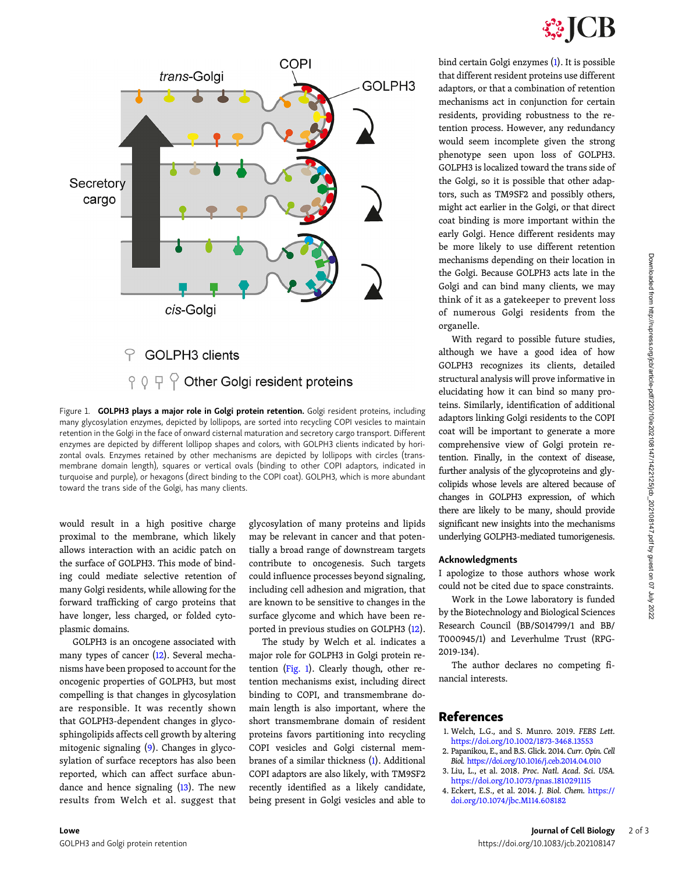

<span id="page-1-0"></span>

Figure 1. GOLPH3 plays a major role in Golgi protein retention. Golgi resident proteins, including many glycosylation enzymes, depicted by lollipops, are sorted into recycling COPI vesicles to maintain retention in the Golgi in the face of onward cisternal maturation and secretory cargo transport. Different enzymes are depicted by different lollipop shapes and colors, with GOLPH3 clients indicated by horizontal ovals. Enzymes retained by other mechanisms are depicted by lollipops with circles (transmembrane domain length), squares or vertical ovals (binding to other COPI adaptors, indicated in turquoise and purple), or hexagons (direct binding to the COPI coat). GOLPH3, which is more abundant toward the trans side of the Golgi, has many clients.

would result in a high positive charge proximal to the membrane, which likely allows interaction with an acidic patch on the surface of GOLPH3. This mode of binding could mediate selective retention of many Golgi residents, while allowing for the forward trafficking of cargo proteins that have longer, less charged, or folded cytoplasmic domains.

GOLPH3 is an oncogene associated with many types of cancer [\(12](#page-2-0)). Several mechanisms have been proposed to account for the oncogenic properties of GOLPH3, but most compelling is that changes in glycosylation are responsible. It was recently shown that GOLPH3-dependent changes in glycosphingolipids affects cell growth by altering mitogenic signaling ([9](#page-2-0)). Changes in glycosylation of surface receptors has also been reported, which can affect surface abundance and hence signaling [\(13\)](#page-2-0). The new results from Welch et al. suggest that glycosylation of many proteins and lipids may be relevant in cancer and that potentially a broad range of downstream targets contribute to oncogenesis. Such targets could influence processes beyond signaling, including cell adhesion and migration, that are known to be sensitive to changes in the surface glycome and which have been reported in previous studies on GOLPH3 [\(12\)](#page-2-0).

The study by Welch et al. indicates a major role for GOLPH3 in Golgi protein retention (Fig. 1). Clearly though, other retention mechanisms exist, including direct binding to COPI, and transmembrane domain length is also important, where the short transmembrane domain of resident proteins favors partitioning into recycling COPI vesicles and Golgi cisternal membranes of a similar thickness (1). Additional COPI adaptors are also likely, with TM9SF2 recently identified as a likely candidate, being present in Golgi vesicles and able to

bind certain Golgi enzymes (1). It is possible that different resident proteins use different adaptors, or that a combination of retention mechanisms act in conjunction for certain residents, providing robustness to the retention process. However, any redundancy would seem incomplete given the strong phenotype seen upon loss of GOLPH3. GOLPH3 is localized toward the trans side of the Golgi, so it is possible that other adaptors, such as TM9SF2 and possibly others, might act earlier in the Golgi, or that direct coat binding is more important within the early Golgi. Hence different residents may be more likely to use different retention mechanisms depending on their location in the Golgi. Because GOLPH3 acts late in the Golgi and can bind many clients, we may think of it as a gatekeeper to prevent loss of numerous Golgi residents from the organelle.

With regard to possible future studies, although we have a good idea of how GOLPH3 recognizes its clients, detailed structural analysis will prove informative in elucidating how it can bind so many proteins. Similarly, identification of additional adaptors linking Golgi residents to the COPI coat will be important to generate a more comprehensive view of Golgi protein retention. Finally, in the context of disease, further analysis of the glycoproteins and glycolipids whose levels are altered because of changes in GOLPH3 expression, of which there are likely to be many, should provide significant new insights into the mechanisms underlying GOLPH3-mediated tumorigenesis.

## Acknowledgments

I apologize to those authors whose work could not be cited due to space constraints.

Work in the Lowe laboratory is funded by the Biotechnology and Biological Sciences Research Council (BB/S014799/1 and BB/ T000945/1) and Leverhulme Trust (RPG-2019-134).

The author declares no competing financial interests.

## References

- 1. Welch, L.G., and S. Munro. 2019. FEBS Lett. <https://doi.org/10.1002/1873-3468.13553>
- 2. Papanikou, E., and B.S. Glick. 2014. Curr. Opin. Cell Biol. <https://doi.org/10.1016/j.ceb.2014.04.010>
- 3. Liu, L., et al. 2018. Proc. Natl. Acad. Sci. USA. <https://doi.org/10.1073/pnas.1810291115>
- 4. Eckert, E.S., et al. 2014. J. Biol. Chem. [https://](https://doi.org/10.1074/jbc.M114.608182) [doi.org/10.1074/jbc.M114.608182](https://doi.org/10.1074/jbc.M114.608182)